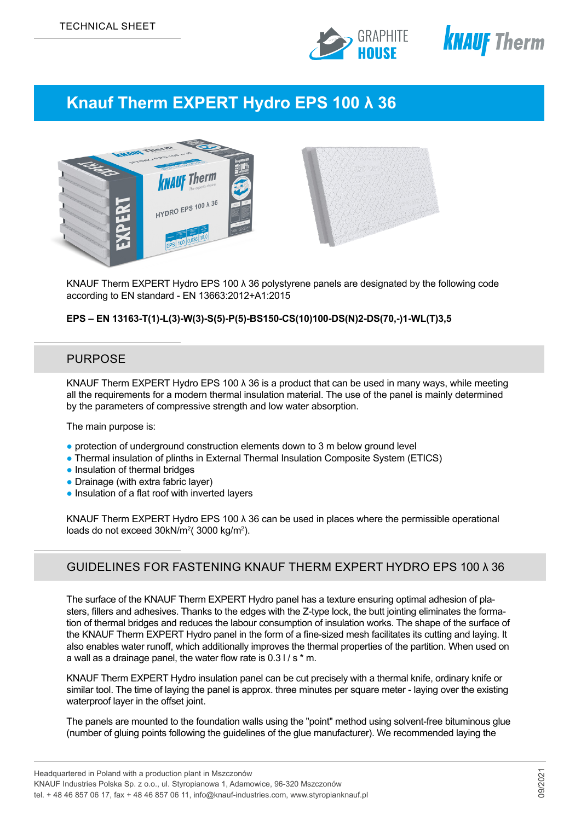



# **Knauf Therm EXPERT Hydro EPS 100 λ 36**



KNAUF Therm EXPERT Hydro EPS 100 λ 36 polystyrene panels are designated by the following code according to EN standard - EN 13663:2012+A1:2015

### **EPS – EN 13163-T(1)-L(3)-W(3)-S(5)-P(5)-BS150-CS(10)100-DS(N)2-DS(70,-)1-WL(T)3,5**

# PURPOSE

KNAUF Therm EXPERT Hydro EPS 100  $\lambda$  36 is a product that can be used in many ways, while meeting all the requirements for a modern thermal insulation material. The use of the panel is mainly determined by the parameters of compressive strength and low water absorption.

The main purpose is:

- protection of underground construction elements down to 3 m below ground level
- Thermal insulation of plinths in External Thermal Insulation Composite System (ETICS)
- Insulation of thermal bridges
- Drainage (with extra fabric layer)
- Insulation of a flat roof with inverted layers

KNAUF Therm EXPERT Hydro EPS 100 λ 36 can be used in places where the permissible operational loads do not exceed 30kN/m²( 3000 kg/m²).

# GUIDELINES FOR FASTENING KNAUF THERM EXPERT HYDRO EPS 100 λ 36

The surface of the KNAUF Therm EXPERT Hydro panel has a texture ensuring optimal adhesion of plasters, fillers and adhesives. Thanks to the edges with the Z-type lock, the butt jointing eliminates the formation of thermal bridges and reduces the labour consumption of insulation works. The shape of the surface of the KNAUF Therm EXPERT Hydro panel in the form of a fine-sized mesh facilitates its cutting and laying. It also enables water runoff, which additionally improves the thermal properties of the partition. When used on a wall as a drainage panel, the water flow rate is  $0.31 / s * m$ .

KNAUF Therm EXPERT Hydro insulation panel can be cut precisely with a thermal knife, ordinary knife or similar tool. The time of laying the panel is approx. three minutes per square meter - laying over the existing waterproof layer in the offset joint.

The panels are mounted to the foundation walls using the "point" method using solvent-free bituminous glue (number of gluing points following the guidelines of the glue manufacturer). We recommended laying the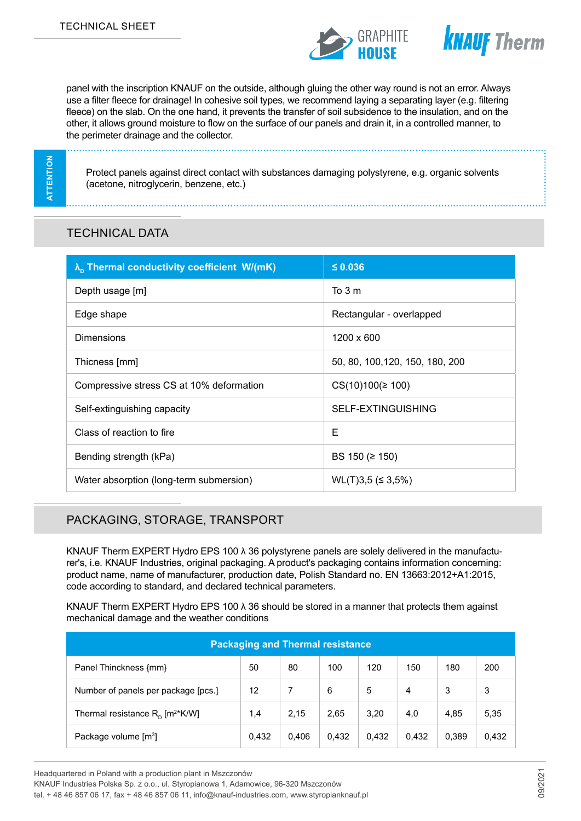



panel with the inscription KNAUF on the outside, although gluing the other way round is not an error. Always use a filter fleece for drainage! In cohesive soil types, we recommend laying a separating layer (e.g. filtering fleece) on the slab. On the one hand, it prevents the transfer of soil subsidence to the insulation, and on the other, it allows ground moisture to flow on the surface of our panels and drain it, in a controlled manner, to the perimeter drainage and the collector.

**ATTENTION ATTENTION**

Protect panels against direct contact with substances damaging polystyrene, e.g. organic solvents (acetone, nitroglycerin, benzene, etc.)

# TECHNICAL DATA

| $\lambda_{\rm n}$ Thermal conductivity coefficient W/(mK) | $\leq 0.036$                    |
|-----------------------------------------------------------|---------------------------------|
| Depth usage [m]                                           | To 3 m                          |
| Edge shape                                                | Rectangular - overlapped        |
| <b>Dimensions</b>                                         | 1200 x 600                      |
| Thicness [mm]                                             | 50, 80, 100, 120, 150, 180, 200 |
| Compressive stress CS at 10% deformation                  | $CS(10)100 (\ge 100)$           |
| Self-extinguishing capacity                               | SELF-EXTINGUISHING              |
| Class of reaction to fire                                 | E                               |
| Bending strength (kPa)                                    | BS 150 ( $\geq$ 150)            |
| Water absorption (long-term submersion)                   | $WL(T)3,5 \leq 3,5\%$           |

# PACKAGING, STORAGE, TRANSPORT

KNAUF Therm EXPERT Hydro EPS 100 λ 36 polystyrene panels are solely delivered in the manufacturer's, i.e. KNAUF Industries, original packaging. A product's packaging contains information concerning: product name, name of manufacturer, production date, Polish Standard no. EN 13663:2012+A1:2015, code according to standard, and declared technical parameters.

KNAUF Therm EXPERT Hydro EPS 100  $\lambda$  36 should be stored in a manner that protects them against mechanical damage and the weather conditions

| <b>Packaging and Thermal resistance</b>        |       |       |       |       |       |       |       |  |  |
|------------------------------------------------|-------|-------|-------|-------|-------|-------|-------|--|--|
| Panel Thinckness {mm}                          | 50    | 80    | 100   | 120   | 150   | 180   | 200   |  |  |
| Number of panels per package [pcs.]            | 12    |       | 6     | 5     | 4     | 3     | 3     |  |  |
| Thermal resistance $R_p$ [m <sup>2*</sup> K/W] | 1,4   | 2.15  | 2,65  | 3,20  | 4,0   | 4,85  | 5,35  |  |  |
| Package volume [m <sup>3</sup> ]               | 0,432 | 0.406 | 0,432 | 0,432 | 0,432 | 0,389 | 0,432 |  |  |